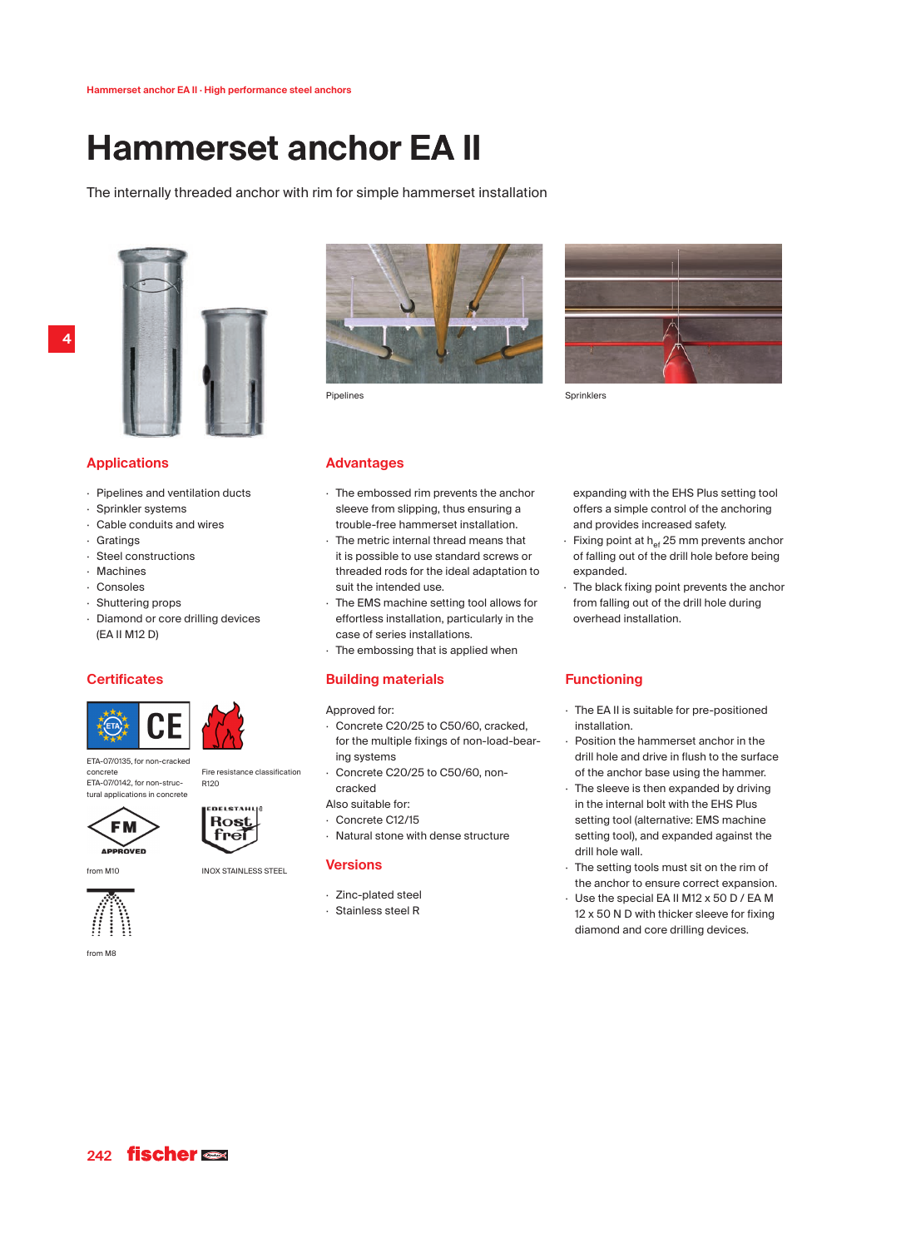# **Hammerset anchor EA II**

The internally threaded anchor with rim for simple hammerset installation



# **Applications**

- · Pipelines and ventilation ducts
- · Sprinkler systems
- Cable conduits and wires
- · Gratings
- Steel constructions
- **Machines**
- · Consoles
- · Shuttering props
- · Diamond or core drilling devices (EA II M12 D)

# **Certificates**



tural applications in concrete



ETA-07/0135, for non-cracked ETA-07/0142, for non-struc-Fire resistance classification R120



from M8

concrete

from M10 **INOX STAINLESS STEEL** 



- · Zinc-plated steel
- 







**Sprinklers** 

# **Advantages**

- · The embossed rim prevents the anchor sleeve from slipping, thus ensuring a trouble-free hammerset installation.
- The metric internal thread means that it is possible to use standard screws or threaded rods for the ideal adaptation to suit the intended use.
- The EMS machine setting tool allows for effortless installation, particularly in the case of series installations.
- · The embossing that is applied when

# **Building materials**

#### Approved for:

- · Concrete C20/25 to C50/60, cracked, for the multiple fixings of non-load-bearing systems
- · Concrete C20/25 to C50/60, noncracked
- Also suitable for:
- · Concrete C12/15
- · Natural stone with dense structure

## **Versions**

- 
- · Stainless steel R

expanding with the EHS Plus setting tool offers a simple control of the anchoring and provides increased safety.

- Fixing point at  $h_{\text{ef}}$  25 mm prevents anchor of falling out of the drill hole before being hahnanya
- · The black fixing point prevents the anchor from falling out of the drill hole during overhead installation.

# **Functioning**

- · The EA II is suitable for pre-positioned installation.
- Position the hammerset anchor in the drill hole and drive in flush to the surface of the anchor base using the hammer.
- The sleeve is then expanded by driving in the internal bolt with the EHS Plus setting tool (alternative: EMS machine setting tool), and expanded against the drill hole wall.
- · The setting tools must sit on the rim of the anchor to ensure correct expansion.
- · Use the special EA II M12 x 50 D / EA M 12 x 50 N D with thicker sleeve for fixing diamond and core drilling devices.

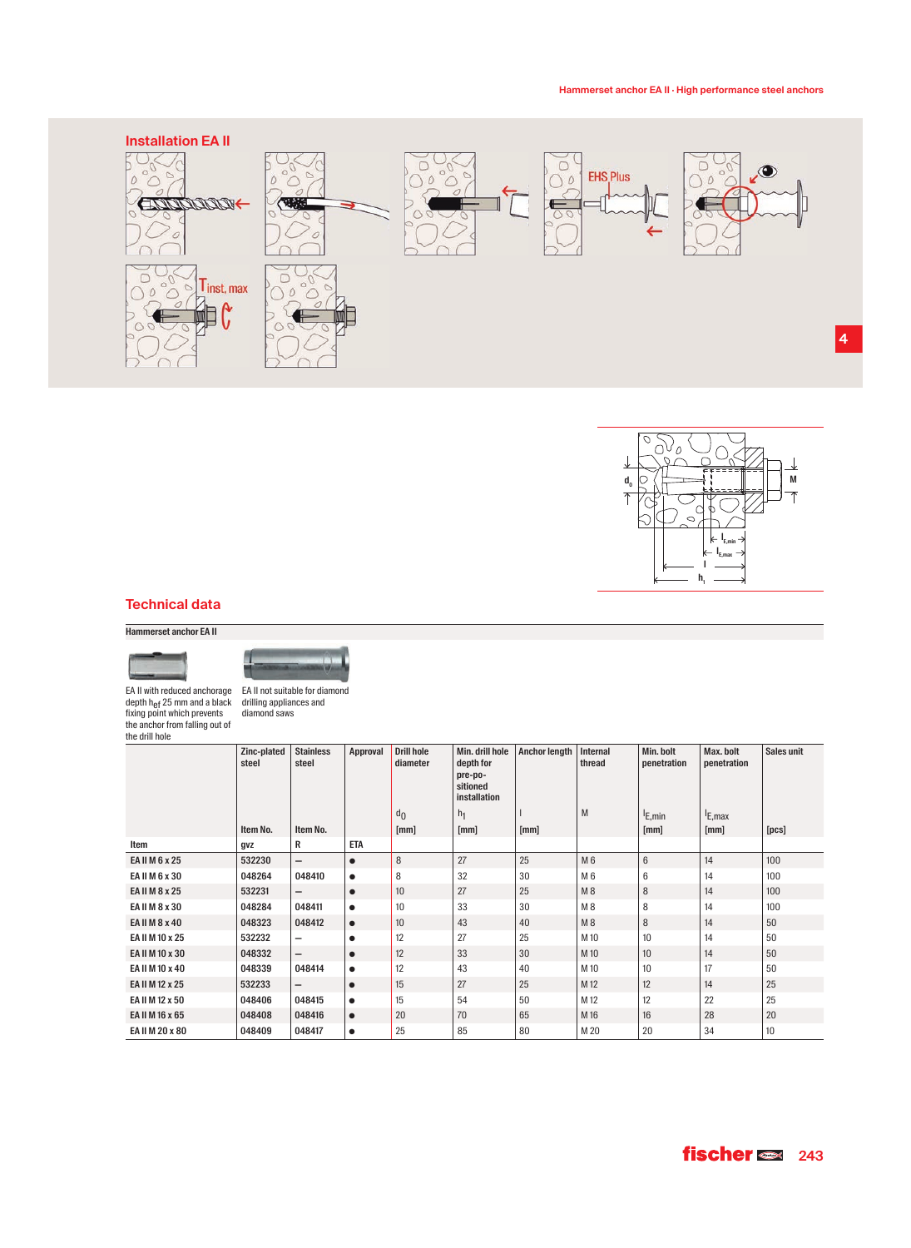



# **Technical data**

**Hammerset anchor EA II**



EA II not suitable for diamond

EA II with reduced anchorage depth h<sub>ef</sub> 25 mm and a black<br>fixing point which prevents the anchor from falling out of the drill hole

drilling appliances and diamond saws

|                 | Zinc-plated<br>steel | <b>Stainless</b><br>steel | Approval   | <b>Drill hole</b><br>diameter | Min. drill hole<br>depth for<br>pre-po-<br>sitioned<br><i>installation</i> | <b>Anchor length</b> | Internal<br>thread | Min. bolt<br>penetration | Max. bolt<br>penetration | Sales unit |
|-----------------|----------------------|---------------------------|------------|-------------------------------|----------------------------------------------------------------------------|----------------------|--------------------|--------------------------|--------------------------|------------|
|                 |                      |                           |            | $d_{\Omega}$                  | h <sub>1</sub>                                                             |                      | M                  | <sup>I</sup> E, min      | E, max                   |            |
|                 | Item No.             | Item No.                  |            | [mm]                          | [mm]                                                                       | [mm]                 |                    | [mm]                     | [mm]                     | [pcs]      |
| Item            | gvz                  | R                         | <b>ETA</b> |                               |                                                                            |                      |                    |                          |                          |            |
| EA II M 6 x 25  | 532230               | $\qquad \qquad -$         | $\bullet$  | 8                             | 27                                                                         | 25                   | M 6                | $6\phantom{1}$           | 14                       | 100        |
| EA II M 6 x 30  | 048264               | 048410                    | $\bullet$  | 8                             | 32                                                                         | 30                   | M 6                | 6                        | 14                       | 100        |
| EA II M 8 x 25  | 532231               | -                         | $\bullet$  | 10                            | 27                                                                         | 25                   | M8                 | 8                        | 14                       | 100        |
| EA II M 8 x 30  | 048284               | 048411                    | $\bullet$  | 10                            | 33                                                                         | 30                   | M8                 | 8                        | 14                       | 100        |
| EA II M 8 x 40  | 048323               | 048412                    | $\bullet$  | 10                            | 43                                                                         | 40                   | M8                 | 8                        | 14                       | 50         |
| EA II M 10 x 25 | 532232               | $\overline{\phantom{0}}$  | $\bullet$  | 12                            | 27                                                                         | 25                   | M 10               | 10                       | 14                       | 50         |
| EA II M 10 x 30 | 048332               | $\overline{\phantom{m}}$  | $\bullet$  | 12                            | 33                                                                         | 30                   | M 10               | 10                       | 14                       | 50         |
| EA II M 10 x 40 | 048339               | 048414                    | $\bullet$  | 12                            | 43                                                                         | 40                   | M 10               | 10                       | 17                       | 50         |
| EA II M 12 x 25 | 532233               | $\qquad \qquad -$         | $\bullet$  | 15                            | 27                                                                         | 25                   | M 12               | 12                       | 14                       | 25         |
| EA II M 12 x 50 | 048406               | 048415                    | $\bullet$  | 15                            | 54                                                                         | 50                   | M 12               | 12                       | 22                       | 25         |
| EA II M 16 x 65 | 048408               | 048416                    | $\bullet$  | 20                            | 70                                                                         | 65                   | M 16               | 16                       | 28                       | 20         |
| EA II M 20 x 80 | 048409               | 048417                    | $\bullet$  | 25                            | 85                                                                         | 80                   | M 20               | 20                       | 34                       | 10         |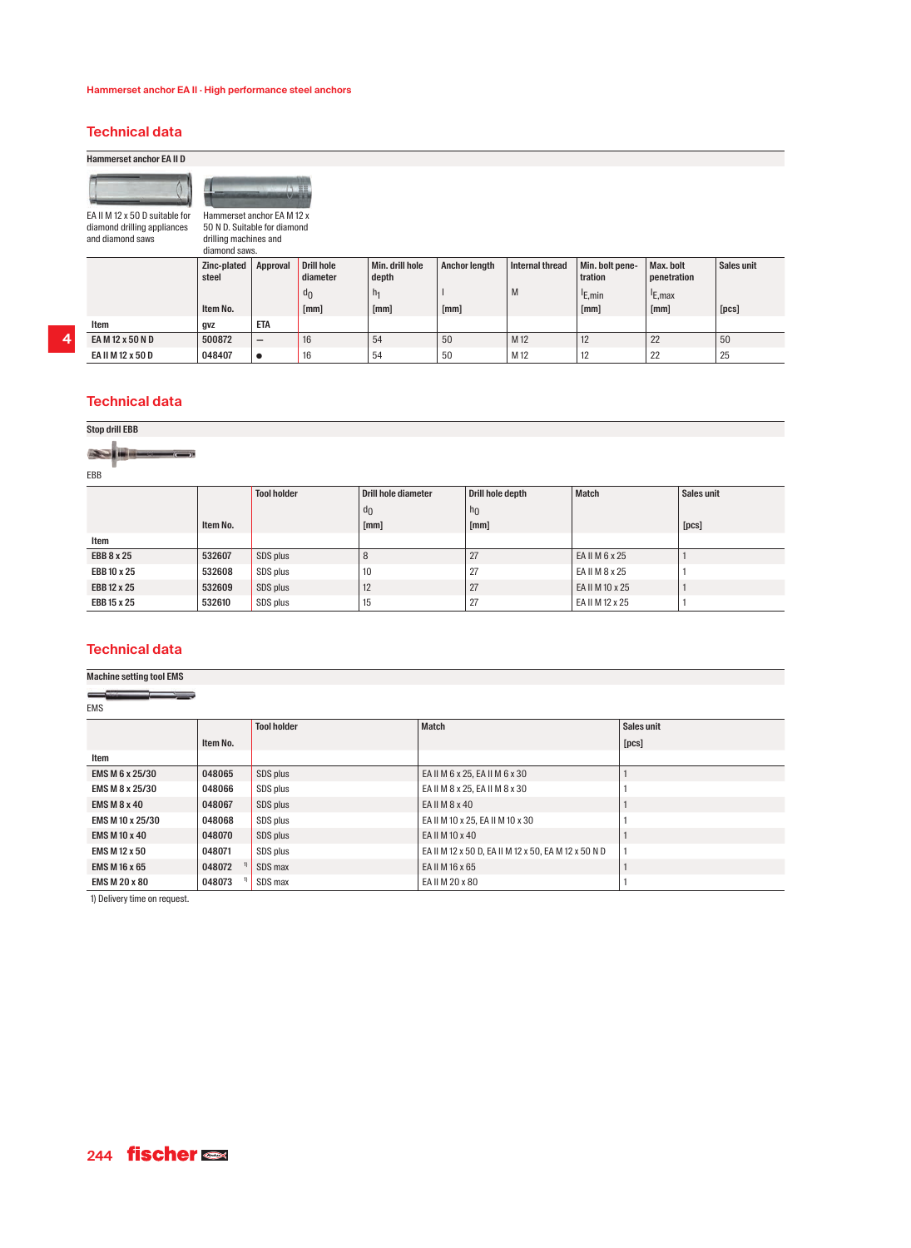# **Technical data**

**Hammerset anchor EA II D**

EA II M 12 x 50 D suitable for diamond drilling appliances

and diamond saws



50 N D. Suitable for diamond drilling machines and diamond saws.

|                   | Zinc-plated<br>steel | Approval                 | <b>Drill hole</b><br>diameter | Min. drill hole<br>depth | <b>Anchor length</b> | Internal thread | Min. bolt pene-<br>tration | Max. bolt<br>penetration | Sales unit |
|-------------------|----------------------|--------------------------|-------------------------------|--------------------------|----------------------|-----------------|----------------------------|--------------------------|------------|
|                   |                      |                          | $d_0$                         | h <sub>1</sub>           |                      | M               | <sup>I</sup> E,min         | <sup>I</sup> E.max       |            |
|                   | Item No.             |                          | [mm]                          | [mm]                     | [mm]                 |                 | [mm]                       | [mm]                     | [pcs]      |
| Item              | gvz                  | <b>ETA</b>               |                               |                          |                      |                 |                            |                          |            |
| EA M 12 x 50 N D  | 500872               | $\overline{\phantom{0}}$ | 16                            | 54                       | 50                   | M <sub>12</sub> | 12                         | $\Omega$<br>2Z           | 50         |
| EA II M 12 x 50 D | 048407               | $\bullet$                | 16                            | 54                       | 50                   | M 12            | 12                         | 22                       | 25         |

# **Technical data**

### **Stop drill EBB**

I  $\sqrt{2}$ 

EBB

|             |          | <b>Tool holder</b> | Drill hole diameter | Drill hole depth | <b>Match</b>    | Sales unit |
|-------------|----------|--------------------|---------------------|------------------|-----------------|------------|
|             |          |                    | d <sub>0</sub>      | h <sub>0</sub>   |                 |            |
|             | Item No. |                    | [mm]                | [mm]             |                 | [pcs]      |
| Item        |          |                    |                     |                  |                 |            |
| EBB 8 x 25  | 532607   | SDS plus           | 8                   | 27               | EA II M 6 x 25  |            |
| EBB 10 x 25 | 532608   | SDS plus           | 10                  | 27               | EA II M 8 x 25  |            |
| EBB 12 x 25 | 532609   | SDS plus           | 12                  | 27               | EA II M 10 x 25 |            |
| EBB 15 x 25 | 532610   | SDS plus           | 15                  | . 27             | EA II M 12 x 25 |            |

# **Technical data Machine setting tool EMS**

| <b>EMS</b>             |          |                    |                                                      |            |  |  |  |  |
|------------------------|----------|--------------------|------------------------------------------------------|------------|--|--|--|--|
|                        |          | <b>Tool holder</b> | <b>Match</b>                                         | Sales unit |  |  |  |  |
|                        | Item No. |                    |                                                      | [pcs]      |  |  |  |  |
| Item                   |          |                    |                                                      |            |  |  |  |  |
| <b>EMS M 6 x 25/30</b> | 048065   | SDS plus           | EA II M 6 x 25, EA II M 6 x 30                       |            |  |  |  |  |
| EMS M 8 x 25/30        | 048066   | SDS plus           | EA II M 8 x 25, EA II M 8 x 30                       |            |  |  |  |  |
| <b>EMS M 8 x 40</b>    | 048067   | SDS plus           | EA II M 8 x 40                                       |            |  |  |  |  |
| EMS M 10 x 25/30       | 048068   | SDS plus           | EA II M 10 x 25, EA II M 10 x 30                     |            |  |  |  |  |
| <b>EMS M 10 x 40</b>   | 048070   | SDS plus           | EA II M 10 x 40                                      |            |  |  |  |  |
| <b>EMS M 12 x 50</b>   | 048071   | SDS plus           | EA II M 12 x 50 D, EA II M 12 x 50, EA M 12 x 50 N D |            |  |  |  |  |
| <b>EMS M 16 x 65</b>   | 048072   | SDS max            | EA II M 16 x 65                                      |            |  |  |  |  |
| <b>EMS M 20 x 80</b>   | 048073   | SDS max            | EA II M 20 x 80                                      |            |  |  |  |  |

1) Delivery time on request.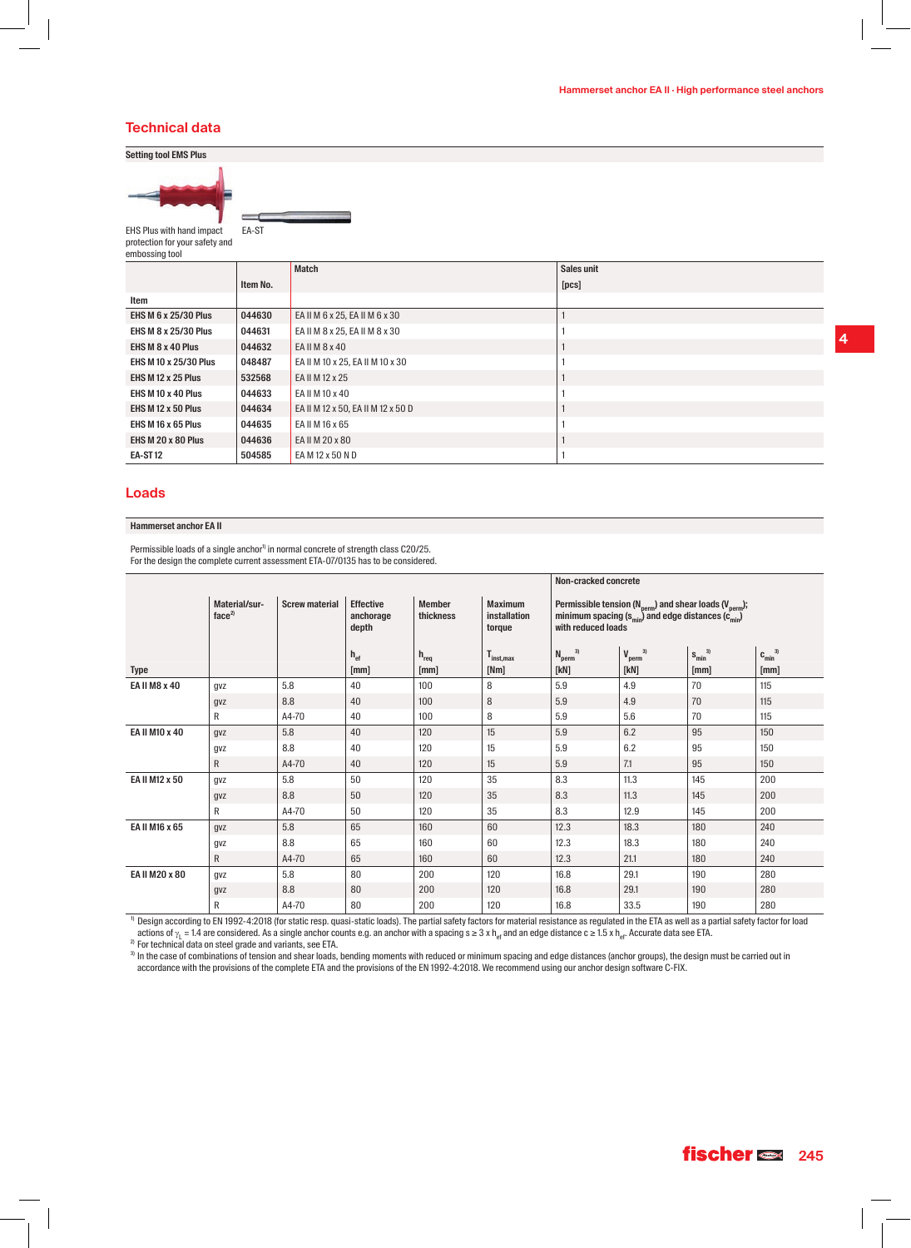## **Technical data**

## **Setting tool EMS Plus**



EHS Plus with hand impact protection for your safety and embossing tool

EA-ST

|                              |          | <b>Match</b>                       | Sales unit |
|------------------------------|----------|------------------------------------|------------|
|                              | Item No. |                                    | [pcs]      |
| Item                         |          |                                    |            |
| <b>EHS M 6 x 25/30 Plus</b>  | 044630   | EA II M 6 x 25, EA II M 6 x 30     |            |
| <b>EHS M 8 x 25/30 Plus</b>  | 044631   | EA II M 8 x 25, EA II M 8 x 30     |            |
| EHS M $8 \times 40$ Plus     | 044632   | EA II M 8 x 40                     |            |
| <b>EHS M 10 x 25/30 Plus</b> | 048487   | EA II M 10 x 25, EA II M 10 x 30   |            |
| EHS M 12 x 25 Plus           | 532568   | EA II M 12 x 25                    |            |
| EHS M 10 x 40 Plus           | 044633   | EA II M 10 x 40                    |            |
| EHS M 12 x 50 Plus           | 044634   | EA II M 12 x 50, EA II M 12 x 50 D |            |
| EHS M 16 x 65 Plus           | 044635   | EA II M 16 x 65                    |            |
| EHS M 20 x 80 Plus           | 044636   | EA II M 20 x 80                    |            |
| EA-ST12                      | 504585   | EA M 12 x 50 N D                   |            |

# **Loads**

#### **Hammerset anchor EA II**

Permissible loads of a single anchor<sup>1</sup> in normal concrete of strength class C20/25. For the design the complete current assessment ETA-07/0135 has to be considered.

|                |                                    |                       |                                        |                            |                                          | Non-cracked concrete                                                                                                                                                                 |                                       |                        |                        |
|----------------|------------------------------------|-----------------------|----------------------------------------|----------------------------|------------------------------------------|--------------------------------------------------------------------------------------------------------------------------------------------------------------------------------------|---------------------------------------|------------------------|------------------------|
|                | Material/sur-<br>face <sup>2</sup> | <b>Screw material</b> | <b>Effective</b><br>anchorage<br>depth | <b>Member</b><br>thickness | <b>Maximum</b><br>installation<br>torque | Permissible tension ( $N_{\text{perm}}$ ) and shear loads ( $V_{\text{perm}}$ );<br>minimum spacing (s <sub>min</sub> ) and edge distances (c <sub>min</sub> )<br>with reduced loads |                                       |                        |                        |
|                |                                    |                       | $h_{\text{ef}}$                        | $h_{req}$<br>[mm]          | <b>I</b> inst.max<br>[Nm]                | 3)<br>$N_{perm}$ <sup>3</sup><br>[KN]                                                                                                                                                | 3)<br>$V_{perm}$ <sup>3</sup><br>[kN] | $S_{min}^{3)}$<br>[mm] | $C_{min}^{3)}$<br>[mm] |
| Type           |                                    |                       | [mm]                                   |                            |                                          |                                                                                                                                                                                      |                                       |                        |                        |
| EA II M8 x 40  | gvz                                | 5.8                   | 40                                     | 100                        | 8                                        | 5.9                                                                                                                                                                                  | 4.9                                   | 70                     | 115                    |
|                | gvz                                | 8.8                   | 40                                     | 100                        | 8                                        | 5.9                                                                                                                                                                                  | 4.9                                   | 70                     | 115                    |
|                | R                                  | A4-70                 | 40                                     | 100                        | 8                                        | 5.9                                                                                                                                                                                  | 5.6                                   | 70                     | 115                    |
| EA II M10 x 40 | gvz                                | 5.8                   | 40                                     | 120                        | 15                                       | 5.9                                                                                                                                                                                  | 6.2                                   | 95                     | 150                    |
|                | gvz                                | 8.8                   | 40                                     | 120                        | 15                                       | 5.9                                                                                                                                                                                  | 6.2                                   | 95                     | 150                    |
|                | R                                  | A4-70                 | 40                                     | 120                        | 15                                       | 5.9                                                                                                                                                                                  | 7.1                                   | 95                     | 150                    |
| EA II M12 x 50 | gvz                                | 5.8                   | 50                                     | 120                        | 35                                       | 8.3                                                                                                                                                                                  | 11.3                                  | 145                    | 200                    |
|                | gvz                                | 8.8                   | 50                                     | 120                        | 35                                       | 8.3                                                                                                                                                                                  | 11.3                                  | 145                    | 200                    |
|                | R                                  | A4-70                 | 50                                     | 120                        | 35                                       | 8.3                                                                                                                                                                                  | 12.9                                  | 145                    | 200                    |
| EA II M16 x 65 | gvz                                | 5.8                   | 65                                     | 160                        | 60                                       | 12.3                                                                                                                                                                                 | 18.3                                  | 180                    | 240                    |
|                | gvz                                | 8.8                   | 65                                     | 160                        | 60                                       | 12.3                                                                                                                                                                                 | 18.3                                  | 180                    | 240                    |
|                | $\mathsf{R}$                       | A4-70                 | 65                                     | 160                        | 60                                       | 12.3                                                                                                                                                                                 | 21.1                                  | 180                    | 240                    |
| EA II M20 x 80 | gvz                                | 5.8                   | 80                                     | 200                        | 120                                      | 16.8                                                                                                                                                                                 | 29.1                                  | 190                    | 280                    |
|                | gvz                                | 8.8                   | 80                                     | 200                        | 120                                      | 16.8                                                                                                                                                                                 | 29.1                                  | 190                    | 280                    |
|                | R                                  | A4-70                 | 80                                     | 200                        | 120                                      | 16.8                                                                                                                                                                                 | 33.5                                  | 190                    | 280                    |

 $^{\rm D}$  Design according to EN 1992-4:2018 (for static resp. quasi-static loads). The partial safety factors for material resistance as regulated in the ETA as well as a partial safety factor for load actions of γ<sub>L</sub> = 1.4 are considered. As a single anchor counts e.g. an anchor with a spacing s ≥ 3 x h<sub>ef</sub> and an edge distance c ≥ 1.5 x h<sub>ef</sub>. Accurate data see ETA.<br><sup>2)</sup> For technical data on steel grade and variants

 $^{\rm 3}$  In the case of combinations of tension and shear loads, bending moments with reduced or minimum spacing and edge distances (anchor groups), the design must be carried out in accordance with the provisions of the complete ETA and the provisions of the EN 1992-4:2018. We recommend using our anchor design software C-FIX.